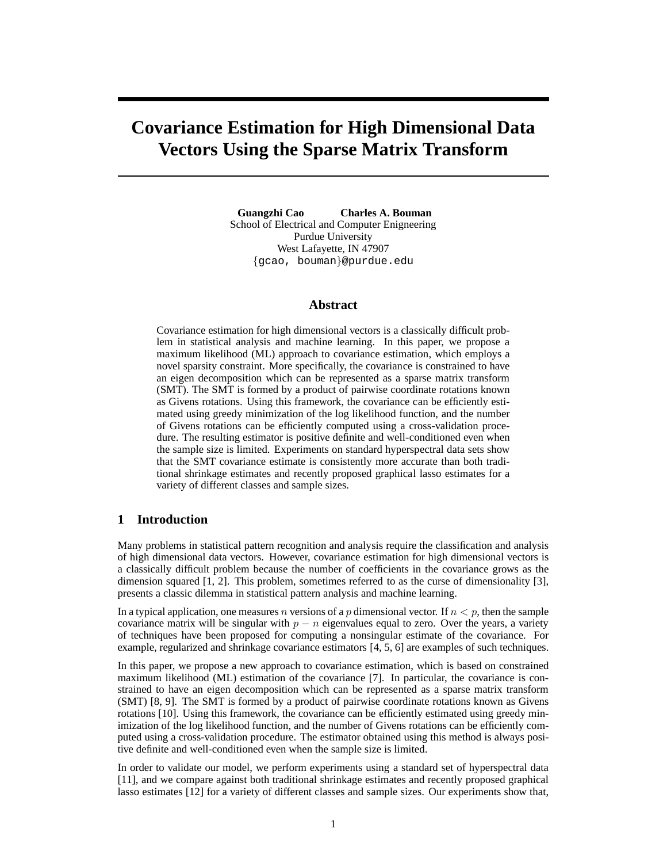# **Covariance Estimation for High Dimensional Data Vectors Using the Sparse Matrix Transform**

**Guangzhi Cao Charles A. Bouman** School of Electrical and Computer Enigneering Purdue University West Lafayette, IN 47907 {gcao, bouman}@purdue.edu

# **Abstract**

Covariance estimation for high dimensional vectors is a classically difficult problem in statistical analysis and machine learning. In this paper, we propose a maximum likelihood (ML) approach to covariance estimation, which employs a novel sparsity constraint. More specifically, the covariance is constrained to have an eigen decomposition which can be represented as a sparse matrix transform (SMT). The SMT is formed by a product of pairwise coordinate rotations known as Givens rotations. Using this framework, the covariance can be efficiently estimated using greedy minimization of the log likelihood function, and the number of Givens rotations can be efficiently computed using a cross-validation procedure. The resulting estimator is positive definite and well-conditioned even when the sample size is limited. Experiments on standard hyperspectral data sets show that the SMT covariance estimate is consistently more accurate than both traditional shrinkage estimates and recently proposed graphical lasso estimates for a variety of different classes and sample sizes.

# **1 Introduction**

Many problems in statistical pattern recognition and analysis require the classification and analysis of high dimensional data vectors. However, covariance estimation for high dimensional vectors is a classically difficult problem because the number of coefficients in the covariance grows as the dimension squared [1, 2]. This problem, sometimes referred to as the curse of dimensionality [3], presents a classic dilemma in statistical pattern analysis and machine learning.

In a typical application, one measures n versions of a p dimensional vector. If  $n < p$ , then the sample covariance matrix will be singular with  $p - n$  eigenvalues equal to zero. Over the years, a variety of techniques have been proposed for computing a nonsingular estimate of the covariance. For example, regularized and shrinkage covariance estimators [4, 5, 6] are examples of such techniques.

In this paper, we propose a new approach to covariance estimation, which is based on constrained maximum likelihood (ML) estimation of the covariance [7]. In particular, the covariance is constrained to have an eigen decomposition which can be represented as a sparse matrix transform (SMT) [8, 9]. The SMT is formed by a product of pairwise coordinate rotations known as Givens rotations [10]. Using this framework, the covariance can be efficiently estimated using greedy minimization of the log likelihood function, and the number of Givens rotations can be efficiently computed using a cross-validation procedure. The estimator obtained using this method is always positive definite and well-conditioned even when the sample size is limited.

In order to validate our model, we perform experiments using a standard set of hyperspectral data [11], and we compare against both traditional shrinkage estimates and recently proposed graphical lasso estimates [12] for a variety of different classes and sample sizes. Our experiments show that,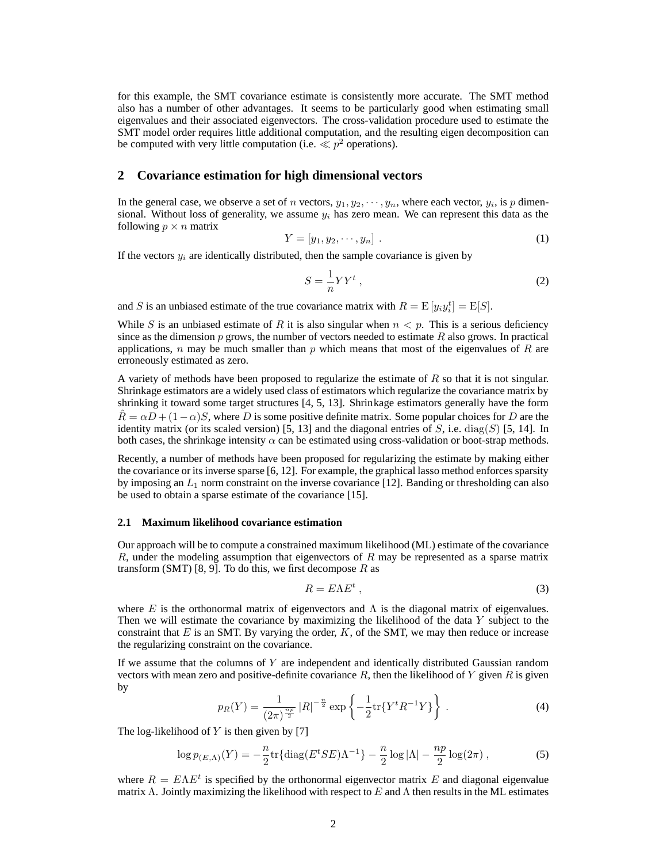for this example, the SMT covariance estimate is consistently more accurate. The SMT method also has a number of other advantages. It seems to be particularly good when estimating small eigenvalues and their associated eigenvectors. The cross-validation procedure used to estimate the SMT model order requires little additional computation, and the resulting eigen decomposition can be computed with very little computation (i.e.  $\ll p^2$  operations).

### **2 Covariance estimation for high dimensional vectors**

In the general case, we observe a set of n vectors,  $y_1, y_2, \dots, y_n$ , where each vector,  $y_i$ , is p dimensional. Without loss of generality, we assume  $y_i$  has zero mean. We can represent this data as the following  $p \times n$  matrix

$$
Y = [y_1, y_2, \cdots, y_n]. \tag{1}
$$

If the vectors  $y_i$  are identically distributed, then the sample covariance is given by

$$
S = \frac{1}{n}YY^{t},\tag{2}
$$

and S is an unbiased estimate of the true covariance matrix with  $R = \mathrm{E}[y_i y_i^t] = \mathrm{E}[S]$ .

While S is an unbiased estimate of R it is also singular when  $n < p$ . This is a serious deficiency since as the dimension  $p$  grows, the number of vectors needed to estimate  $R$  also grows. In practical applications, n may be much smaller than p which means that most of the eigenvalues of R are erroneously estimated as zero.

A variety of methods have been proposed to regularize the estimate of  $R$  so that it is not singular. Shrinkage estimators are a widely used class of estimators which regularize the covariance matrix by shrinking it toward some target structures [4, 5, 13]. Shrinkage estimators generally have the form  $\hat{R} = \alpha D + (1 - \alpha)S$ , where D is some positive definite matrix. Some popular choices for D are the identity matrix (or its scaled version) [5, 13] and the diagonal entries of S, i.e. diag(S) [5, 14]. In both cases, the shrinkage intensity  $\alpha$  can be estimated using cross-validation or boot-strap methods.

Recently, a number of methods have been proposed for regularizing the estimate by making either the covariance or its inverse sparse [6, 12]. For example, the graphical lasso method enforces sparsity by imposing an  $L_1$  norm constraint on the inverse covariance [12]. Banding or thresholding can also be used to obtain a sparse estimate of the covariance [15].

### **2.1 Maximum likelihood covariance estimation**

Our approach will be to compute a constrained maximum likelihood (ML) estimate of the covariance  $R$ , under the modeling assumption that eigenvectors of  $R$  may be represented as a sparse matrix transform (SMT) [8, 9]. To do this, we first decompose  $R$  as

$$
R = E\Lambda E^t \,,\tag{3}
$$

where E is the orthonormal matrix of eigenvectors and  $\Lambda$  is the diagonal matrix of eigenvalues. Then we will estimate the covariance by maximizing the likelihood of the data Y subject to the constraint that  $E$  is an SMT. By varying the order,  $K$ , of the SMT, we may then reduce or increase the regularizing constraint on the covariance.

If we assume that the columns of  $Y$  are independent and identically distributed Gaussian random vectors with mean zero and positive-definite covariance  $R$ , then the likelihood of Y given  $R$  is given by

$$
p_R(Y) = \frac{1}{(2\pi)^{\frac{np}{2}}} |R|^{-\frac{n}{2}} \exp\left\{-\frac{1}{2} \text{tr}\{Y^t R^{-1} Y\}\right\}.
$$
 (4)

The log-likelihood of  $Y$  is then given by [7]

$$
\log p_{(E,\Lambda)}(Y) = -\frac{n}{2} \text{tr}\{ \text{diag}(E^t SE)\Lambda^{-1} \} - \frac{n}{2} \log |\Lambda| - \frac{np}{2} \log(2\pi) ,\tag{5}
$$

where  $R = E\Lambda E^t$  is specified by the orthonormal eigenvector matrix E and diagonal eigenvalue matrix Λ. Jointly maximizing the likelihood with respect to E and Λ then results in the ML estimates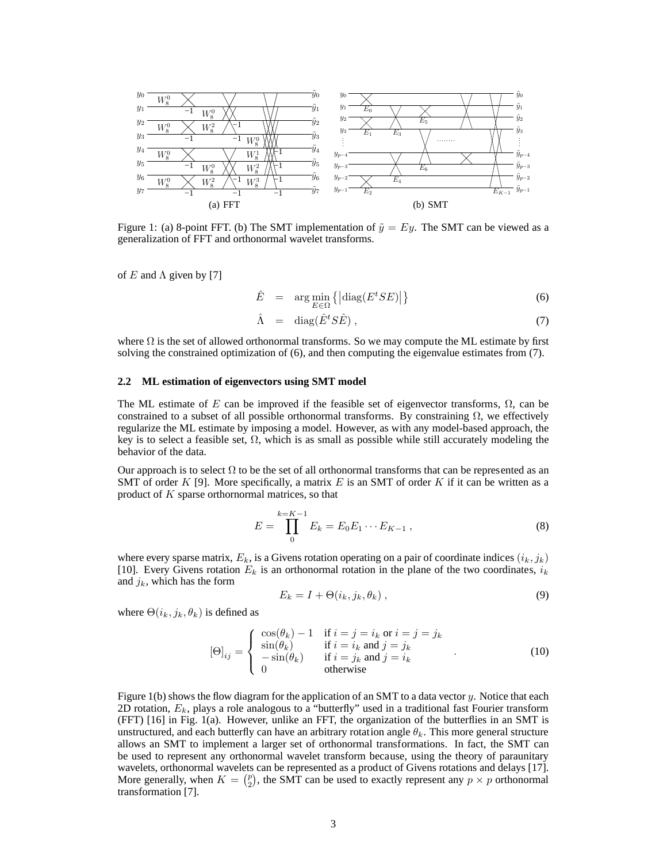

Figure 1: (a) 8-point FFT. (b) The SMT implementation of  $\tilde{y} = Ey$ . The SMT can be viewed as a generalization of FFT and orthonormal wavelet transforms.

of E and  $\Lambda$  given by [7]

$$
\hat{E} = \arg\min_{E \in \Omega} \left\{ \left| \text{diag}(E^t SE) \right| \right\} \tag{6}
$$

$$
\hat{\Lambda} = \text{diag}(\hat{E}^t S \hat{E}), \qquad (7)
$$

where  $\Omega$  is the set of allowed orthonormal transforms. So we may compute the ML estimate by first solving the constrained optimization of (6), and then computing the eigenvalue estimates from (7).

#### **2.2 ML estimation of eigenvectors using SMT model**

The ML estimate of E can be improved if the feasible set of eigenvector transforms,  $\Omega$ , can be constrained to a subset of all possible orthonormal transforms. By constraining  $\Omega$ , we effectively regularize the ML estimate by imposing a model. However, as with any model-based approach, the key is to select a feasible set,  $\Omega$ , which is as small as possible while still accurately modeling the behavior of the data.

Our approach is to select  $\Omega$  to be the set of all orthonormal transforms that can be represented as an SMT of order K [9]. More specifically, a matrix E is an SMT of order K if it can be written as a product of K sparse orthornormal matrices, so that

$$
E = \prod_{0}^{k=K-1} E_k = E_0 E_1 \cdots E_{K-1} , \qquad (8)
$$

where every sparse matrix,  $E_k$ , is a Givens rotation operating on a pair of coordinate indices  $(i_k, j_k)$ [10]. Every Givens rotation  $E_k$  is an orthonormal rotation in the plane of the two coordinates,  $i_k$ and  $j_k$ , which has the form

$$
E_k = I + \Theta(i_k, j_k, \theta_k), \qquad (9)
$$

where  $\Theta(i_k, j_k, \theta_k)$  is defined as

$$
[\Theta]_{ij} = \begin{cases} \cos(\theta_k) - 1 & \text{if } i = j = i_k \text{ or } i = j = j_k\\ \sin(\theta_k) & \text{if } i = i_k \text{ and } j = j_k\\ -\sin(\theta_k) & \text{if } i = j_k \text{ and } j = i_k\\ 0 & \text{otherwise} \end{cases}
$$
(10)

Figure 1(b) shows the flow diagram for the application of an SMT to a data vector  $y$ . Notice that each 2D rotation,  $E_k$ , plays a role analogous to a "butterfly" used in a traditional fast Fourier transform (FFT) [16] in Fig. 1(a). However, unlike an FFT, the organization of the butterflies in an SMT is unstructured, and each butterfly can have an arbitrary rotation angle  $\theta_k$ . This more general structure allows an SMT to implement a larger set of orthonormal transformations. In fact, the SMT can be used to represent any orthonormal wavelet transform because, using the theory of paraunitary wavelets, orthonormal wavelets can be represented as a product of Givens rotations and delays [17]. More generally, when  $K = \binom{p}{2}$  $\binom{p}{2}$ , the SMT can be used to exactly represent any  $p \times p$  orthonormal transformation [7].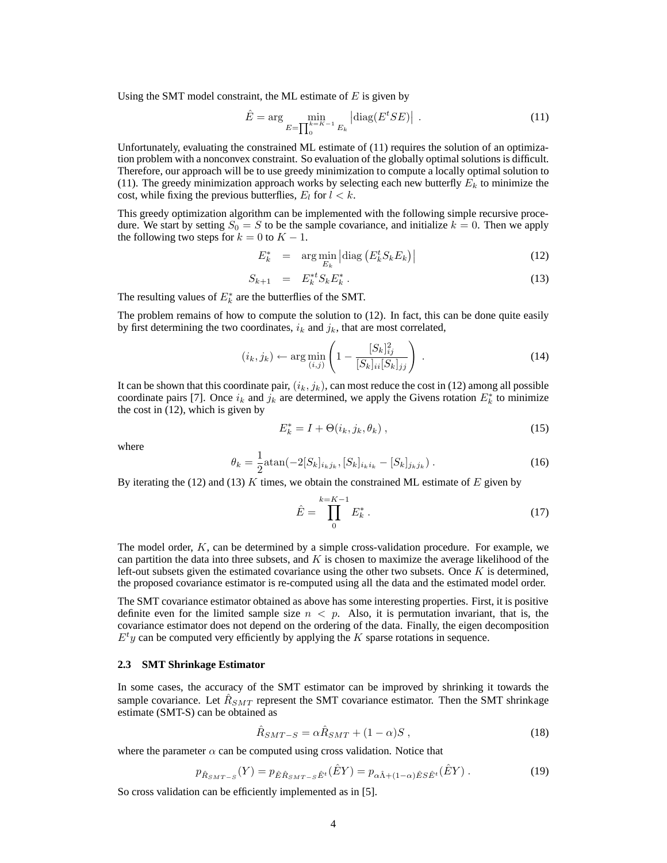Using the SMT model constraint, the ML estimate of  $E$  is given by

$$
\hat{E} = \arg\min_{E=\prod_{0}^{k=K-1} E_k} |\text{diag}(E^t SE)| \tag{11}
$$

Unfortunately, evaluating the constrained ML estimate of (11) requires the solution of an optimization problem with a nonconvex constraint. So evaluation of the globally optimal solutions is difficult. Therefore, our approach will be to use greedy minimization to compute a locally optimal solution to (11). The greedy minimization approach works by selecting each new butterfly  $E<sub>k</sub>$  to minimize the cost, while fixing the previous butterflies,  $E_l$  for  $l < k$ .

This greedy optimization algorithm can be implemented with the following simple recursive procedure. We start by setting  $S_0 = S$  to be the sample covariance, and initialize  $k = 0$ . Then we apply the following two steps for  $k = 0$  to  $K - 1$ .

$$
E_k^* = \arg\min_{E_k} \left| \text{diag}\left(E_k^t S_k E_k\right) \right| \tag{12}
$$

$$
S_{k+1} = E_k^{*t} S_k E_k^* \tag{13}
$$

The resulting values of  $E_k^*$  are the butterflies of the SMT.

The problem remains of how to compute the solution to (12). In fact, this can be done quite easily by first determining the two coordinates,  $i_k$  and  $j_k$ , that are most correlated,

$$
(i_k, j_k) \leftarrow \arg\min_{(i,j)} \left( 1 - \frac{[S_k]_{ij}^2}{[S_k]_{ii}[S_k]_{jj}} \right) \,. \tag{14}
$$

It can be shown that this coordinate pair,  $(i_k, j_k)$ , can most reduce the cost in (12) among all possible coordinate pairs [7]. Once  $i_k$  and  $j_k$  are determined, we apply the Givens rotation  $E_k^*$  to minimize the cost in (12), which is given by

$$
E_k^* = I + \Theta(i_k, j_k, \theta_k), \qquad (15)
$$

where

$$
\theta_k = \frac{1}{2} \text{atan}(-2[S_k]_{i_k j_k}, [S_k]_{i_k i_k} - [S_k]_{j_k j_k}). \tag{16}
$$

By iterating the (12) and (13) K times, we obtain the constrained ML estimate of  $E$  given by

$$
\hat{E} = \prod_{0}^{k=K-1} E_k^* \,. \tag{17}
$$

The model order, K, can be determined by a simple cross-validation procedure. For example, we can partition the data into three subsets, and  $K$  is chosen to maximize the average likelihood of the left-out subsets given the estimated covariance using the other two subsets. Once  $K$  is determined, the proposed covariance estimator is re-computed using all the data and the estimated model order.

The SMT covariance estimator obtained as above has some interesting properties. First, it is positive definite even for the limited sample size  $n < p$ . Also, it is permutation invariant, that is, the covariance estimator does not depend on the ordering of the data. Finally, the eigen decomposition  $E<sup>t</sup>y$  can be computed very efficiently by applying the K sparse rotations in sequence.

### **2.3 SMT Shrinkage Estimator**

In some cases, the accuracy of the SMT estimator can be improved by shrinking it towards the sample covariance. Let  $\hat{R}_{SMT}$  represent the SMT covariance estimator. Then the SMT shrinkage estimate (SMT-S) can be obtained as

$$
\hat{R}_{SMT-S} = \alpha \hat{R}_{SMT} + (1 - \alpha)S \,, \tag{18}
$$

where the parameter  $\alpha$  can be computed using cross validation. Notice that

$$
p_{\hat{R}_{SMT-S}}(Y) = p_{\hat{E}\hat{R}_{SMT-S}\hat{E}^t}(\hat{E}Y) = p_{\alpha\hat{\Lambda}+(1-\alpha)\hat{E}S\hat{E}^t}(\hat{E}Y) .
$$
 (19)

So cross validation can be efficiently implemented as in [5].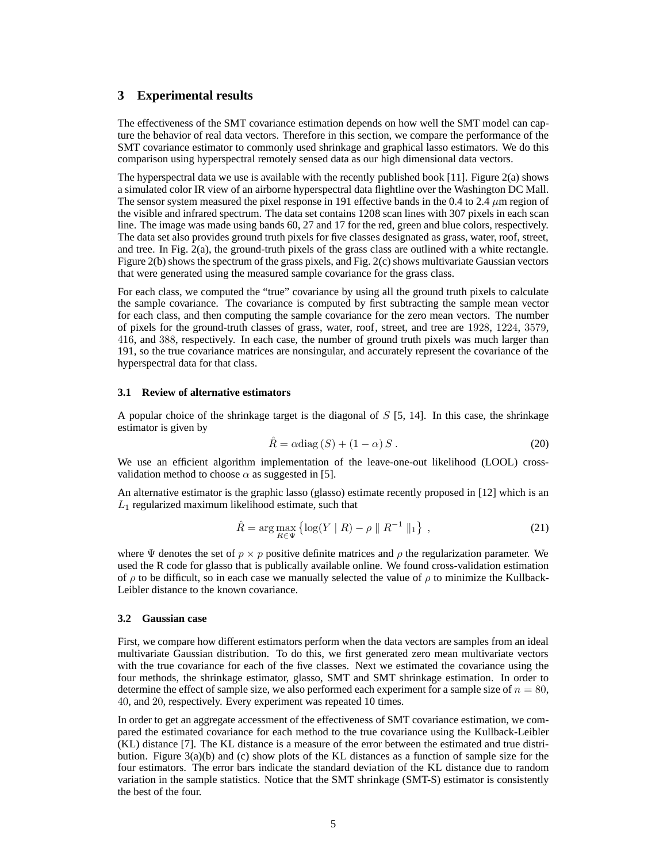# **3 Experimental results**

The effectiveness of the SMT covariance estimation depends on how well the SMT model can capture the behavior of real data vectors. Therefore in this section, we compare the performance of the SMT covariance estimator to commonly used shrinkage and graphical lasso estimators. We do this comparison using hyperspectral remotely sensed data as our high dimensional data vectors.

The hyperspectral data we use is available with the recently published book [11]. Figure 2(a) shows a simulated color IR view of an airborne hyperspectral data flightline over the Washington DC Mall. The sensor system measured the pixel response in 191 effective bands in the 0.4 to 2.4  $\mu$ m region of the visible and infrared spectrum. The data set contains 1208 scan lines with 307 pixels in each scan line. The image was made using bands 60, 27 and 17 for the red, green and blue colors, respectively. The data set also provides ground truth pixels for five classes designated as grass, water, roof, street, and tree. In Fig. 2(a), the ground-truth pixels of the grass class are outlined with a white rectangle. Figure 2(b) shows the spectrum of the grass pixels, and Fig. 2(c) shows multivariate Gaussian vectors that were generated using the measured sample covariance for the grass class.

For each class, we computed the "true" covariance by using all the ground truth pixels to calculate the sample covariance. The covariance is computed by first subtracting the sample mean vector for each class, and then computing the sample covariance for the zero mean vectors. The number of pixels for the ground-truth classes of grass, water, roof, street, and tree are 1928, 1224, 3579, 416, and 388, respectively. In each case, the number of ground truth pixels was much larger than 191, so the true covariance matrices are nonsingular, and accurately represent the covariance of the hyperspectral data for that class.

### **3.1 Review of alternative estimators**

A popular choice of the shrinkage target is the diagonal of  $S$  [5, 14]. In this case, the shrinkage estimator is given by

$$
\hat{R} = \alpha \text{diag}(S) + (1 - \alpha) S. \tag{20}
$$

We use an efficient algorithm implementation of the leave-one-out likelihood (LOOL) crossvalidation method to choose  $\alpha$  as suggested in [5].

An alternative estimator is the graphic lasso (glasso) estimate recently proposed in [12] which is an  $L_1$  regularized maximum likelihood estimate, such that

$$
\hat{R} = \arg \max_{R \in \Psi} \{ \log(Y \mid R) - \rho \parallel R^{-1} \parallel_1 \}, \tag{21}
$$

where  $\Psi$  denotes the set of  $p \times p$  positive definite matrices and  $\rho$  the regularization parameter. We used the R code for glasso that is publically available online. We found cross-validation estimation of  $\rho$  to be difficult, so in each case we manually selected the value of  $\rho$  to minimize the Kullback-Leibler distance to the known covariance.

### **3.2 Gaussian case**

First, we compare how different estimators perform when the data vectors are samples from an ideal multivariate Gaussian distribution. To do this, we first generated zero mean multivariate vectors with the true covariance for each of the five classes. Next we estimated the covariance using the four methods, the shrinkage estimator, glasso, SMT and SMT shrinkage estimation. In order to determine the effect of sample size, we also performed each experiment for a sample size of  $n = 80$ , 40, and 20, respectively. Every experiment was repeated 10 times.

In order to get an aggregate accessment of the effectiveness of SMT covariance estimation, we compared the estimated covariance for each method to the true covariance using the Kullback-Leibler (KL) distance [7]. The KL distance is a measure of the error between the estimated and true distribution. Figure  $3(a)(b)$  and (c) show plots of the KL distances as a function of sample size for the four estimators. The error bars indicate the standard deviation of the KL distance due to random variation in the sample statistics. Notice that the SMT shrinkage (SMT-S) estimator is consistently the best of the four.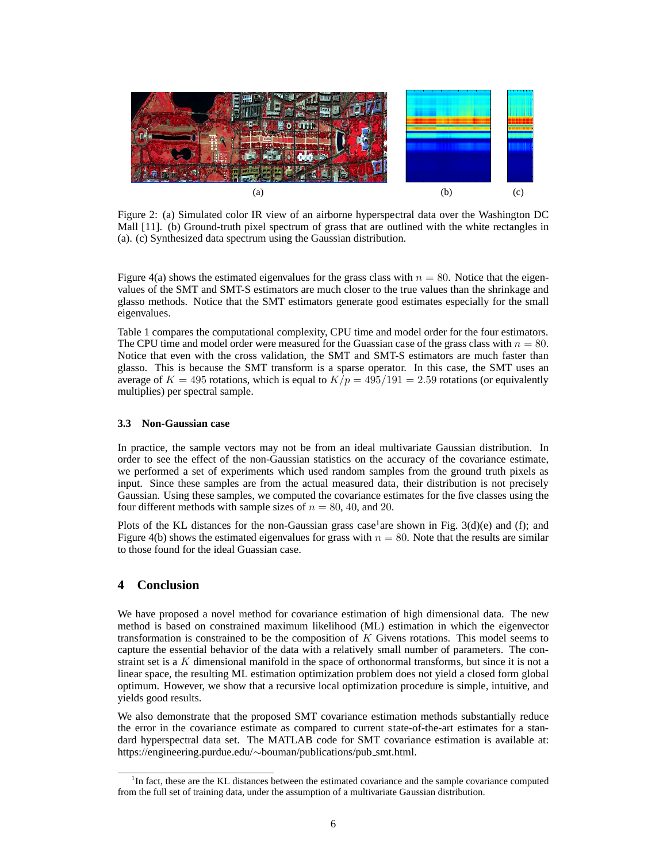

Figure 2: (a) Simulated color IR view of an airborne hyperspectral data over the Washington DC Mall [11]. (b) Ground-truth pixel spectrum of grass that are outlined with the white rectangles in (a). (c) Synthesized data spectrum using the Gaussian distribution.

Figure 4(a) shows the estimated eigenvalues for the grass class with  $n = 80$ . Notice that the eigenvalues of the SMT and SMT-S estimators are much closer to the true values than the shrinkage and glasso methods. Notice that the SMT estimators generate good estimates especially for the small eigenvalues.

Table 1 compares the computational complexity, CPU time and model order for the four estimators. The CPU time and model order were measured for the Guassian case of the grass class with  $n = 80$ . Notice that even with the cross validation, the SMT and SMT-S estimators are much faster than glasso. This is because the SMT transform is a sparse operator. In this case, the SMT uses an average of  $K = 495$  rotations, which is equal to  $K/p = 495/191 = 2.59$  rotations (or equivalently multiplies) per spectral sample.

## **3.3 Non-Gaussian case**

In practice, the sample vectors may not be from an ideal multivariate Gaussian distribution. In order to see the effect of the non-Gaussian statistics on the accuracy of the covariance estimate, we performed a set of experiments which used random samples from the ground truth pixels as input. Since these samples are from the actual measured data, their distribution is not precisely Gaussian. Using these samples, we computed the covariance estimates for the five classes using the four different methods with sample sizes of  $n = 80, 40,$  and 20.

Plots of the KL distances for the non-Gaussian grass case<sup>1</sup> are shown in Fig. 3(d)(e) and (f); and Figure 4(b) shows the estimated eigenvalues for grass with  $n = 80$ . Note that the results are similar to those found for the ideal Guassian case.

# **4 Conclusion**

We have proposed a novel method for covariance estimation of high dimensional data. The new method is based on constrained maximum likelihood (ML) estimation in which the eigenvector transformation is constrained to be the composition of K Givens rotations. This model seems to capture the essential behavior of the data with a relatively small number of parameters. The constraint set is a  $K$  dimensional manifold in the space of orthonormal transforms, but since it is not a linear space, the resulting ML estimation optimization problem does not yield a closed form global optimum. However, we show that a recursive local optimization procedure is simple, intuitive, and yields good results.

We also demonstrate that the proposed SMT covariance estimation methods substantially reduce the error in the covariance estimate as compared to current state-of-the-art estimates for a standard hyperspectral data set. The MATLAB code for SMT covariance estimation is available at: https://engineering.purdue.edu/∼bouman/publications/pub smt.html.

<sup>&</sup>lt;sup>1</sup>In fact, these are the KL distances between the estimated covariance and the sample covariance computed from the full set of training data, under the assumption of a multivariate Gaussian distribution.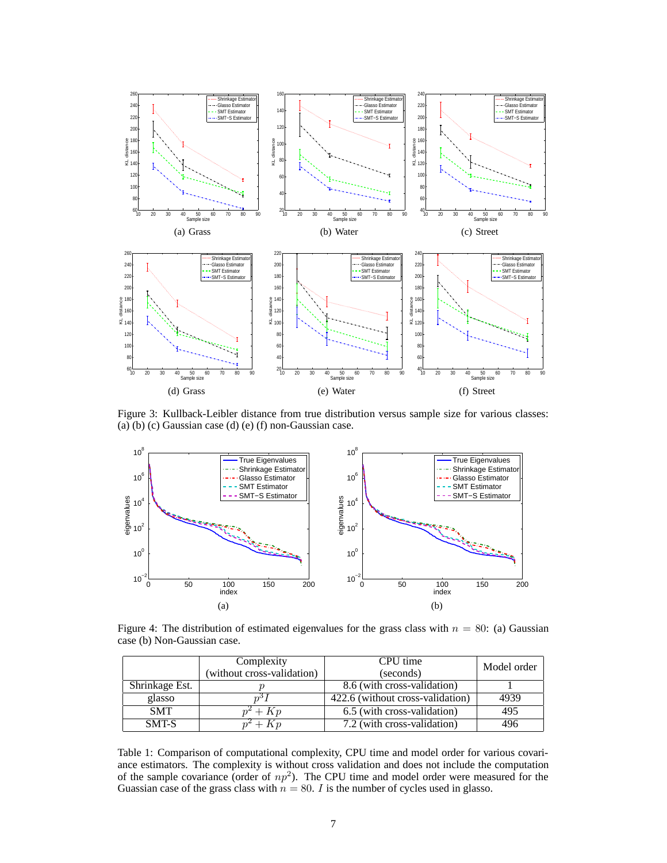

Figure 3: Kullback-Leibler distance from true distribution versus sample size for various classes: (a) (b) (c) Gaussian case (d) (e) (f) non-Gaussian case.



Figure 4: The distribution of estimated eigenvalues for the grass class with  $n = 80$ : (a) Gaussian case (b) Non-Gaussian case.

|                | Complexity                 | CPU time                         | Model order |
|----------------|----------------------------|----------------------------------|-------------|
|                | (without cross-validation) | (seconds)                        |             |
| Shrinkage Est. |                            | 8.6 (with cross-validation)      |             |
| glasso         |                            | 422.6 (without cross-validation) | 4939        |
| <b>SMT</b>     | $+ K p$                    | 6.5 (with cross-validation)      | 495         |
| SMT-S          | $+ Kn$                     | 7.2 (with cross-validation)      | 496         |

Table 1: Comparison of computational complexity, CPU time and model order for various covariance estimators. The complexity is without cross validation and does not include the computation of the sample covariance (order of  $np^2$ ). The CPU time and model order were measured for the Guassian case of the grass class with  $n = 80$ . *I* is the number of cycles used in glasso.